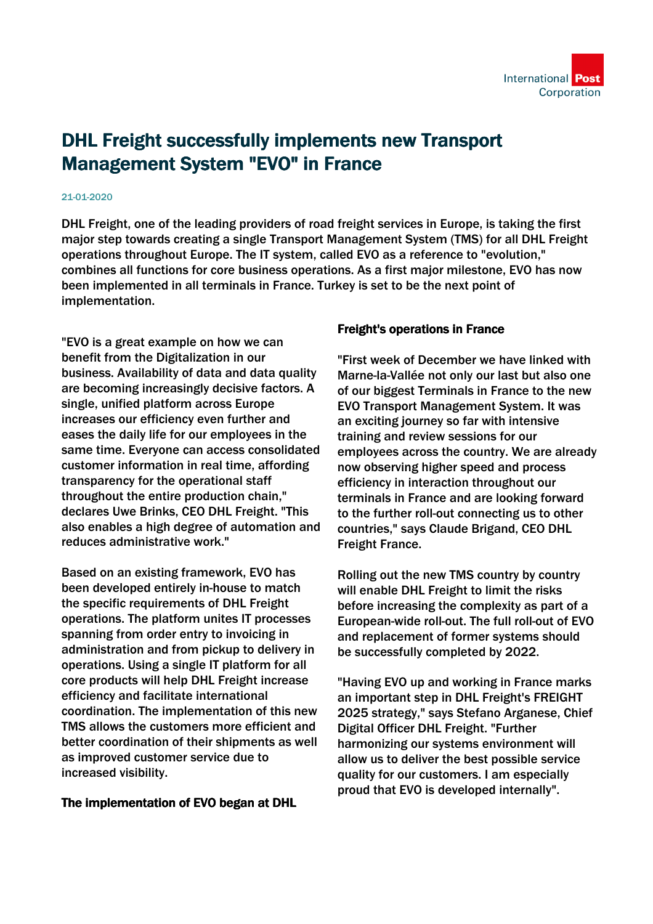## DHL Freight successfully implements new Transport Management System "EVO" in France

## 21-01-2020

DHL Freight, one of the leading providers of road freight services in Europe, is taking the first major step towards creating a single Transport Management System (TMS) for all DHL Freight operations throughout Europe. The IT system, called EVO as a reference to "evolution," combines all functions for core business operations. As a first major milestone, EVO has now been implemented in all terminals in France. Turkey is set to be the next point of implementation.

"EVO is a great example on how we can benefit from the Digitalization in our business. Availability of data and data quality are becoming increasingly decisive factors. A single, unified platform across Europe increases our efficiency even further and eases the daily life for our employees in the same time. Everyone can access consolidated customer information in real time, affording transparency for the operational staff throughout the entire production chain," declares Uwe Brinks, CEO DHL Freight. "This also enables a high degree of automation and reduces administrative work."

Based on an existing framework, EVO has been developed entirely in-house to match the specific requirements of DHL Freight operations. The platform unites IT processes spanning from order entry to invoicing in administration and from pickup to delivery in operations. Using a single IT platform for all core products will help DHL Freight increase efficiency and facilitate international coordination. The implementation of this new TMS allows the customers more efficient and better coordination of their shipments as well as improved customer service due to increased visibility.

## The implementation of EVO began at DHL

## Freight's operations in France

"First week of December we have linked with Marne-la-Vallée not only our last but also one of our biggest Terminals in France to the new EVO Transport Management System. It was an exciting journey so far with intensive training and review sessions for our employees across the country. We are already now observing higher speed and process efficiency in interaction throughout our terminals in France and are looking forward to the further roll-out connecting us to other countries," says Claude Brigand, CEO DHL Freight France.

Rolling out the new TMS country by country will enable DHL Freight to limit the risks before increasing the complexity as part of a European-wide roll-out. The full roll-out of EVO and replacement of former systems should be successfully completed by 2022.

"Having EVO up and working in France marks an important step in DHL Freight's FREIGHT 2025 strategy," says Stefano Arganese, Chief Digital Officer DHL Freight. "Further harmonizing our systems environment will allow us to deliver the best possible service quality for our customers. I am especially proud that EVO is developed internally".